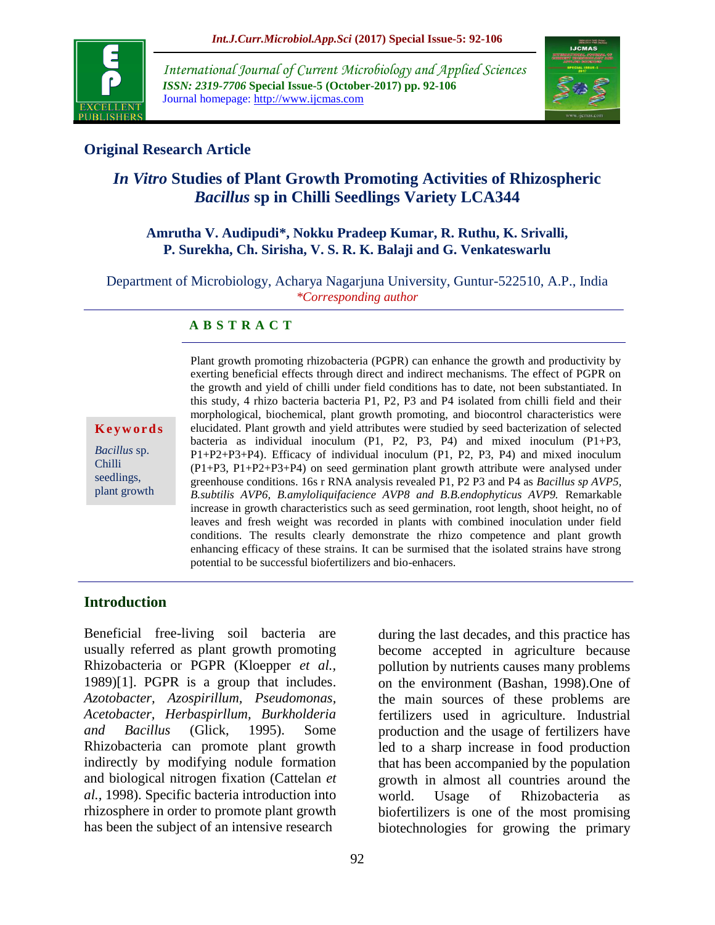

*International Journal of Current Microbiology and Applied Sciences ISSN: 2319-7706* **Special Issue-5 (October-2017) pp. 92-106** Journal homepage: http://www.ijcmas.com



### **Original Research Article**

# *In Vitro* **Studies of Plant Growth Promoting Activities of Rhizospheric**  *Bacillus* **sp in Chilli Seedlings Variety LCA344**

#### **Amrutha V. Audipudi\*, Nokku Pradeep Kumar, R. Ruthu, K. Srivalli, P. Surekha, Ch. Sirisha, V. S. R. K. Balaji and G. Venkateswarlu**

Department of Microbiology, Acharya Nagarjuna University, Guntur-522510, A.P., India *\*Corresponding author*

#### **A B S T R A C T**

#### **K e y w o r d s**

*Bacillus* sp. Chilli seedlings, plant growth Plant growth promoting rhizobacteria (PGPR) can enhance the growth and productivity by exerting beneficial effects through direct and indirect mechanisms. The effect of PGPR on the growth and yield of chilli under field conditions has to date, not been substantiated. In this study, 4 rhizo bacteria bacteria P1, P2, P3 and P4 isolated from chilli field and their morphological, biochemical, plant growth promoting, and biocontrol characteristics were elucidated. Plant growth and yield attributes were studied by seed bacterization of selected bacteria as individual inoculum (P1, P2, P3, P4) and mixed inoculum (P1+P3, P1+P2+P3+P4). Efficacy of individual inoculum (P1, P2, P3, P4) and mixed inoculum (P1+P3, P1+P2+P3+P4) on seed germination plant growth attribute were analysed under greenhouse conditions. 16s r RNA analysis revealed P1, P2 P3 and P4 as *Bacillus sp AVP5, B.subtilis AVP6, B.amyloliquifacience AVP8 and B.B.endophyticus AVP9.* Remarkable increase in growth characteristics such as seed germination, root length, shoot height, no of leaves and fresh weight was recorded in plants with combined inoculation under field conditions. The results clearly demonstrate the rhizo competence and plant growth enhancing efficacy of these strains. It can be surmised that the isolated strains have strong potential to be successful biofertilizers and bio-enhacers.

#### **Introduction**

Beneficial free-living soil bacteria are usually referred as plant growth promoting Rhizobacteria or PGPR (Kloepper *et al.,* 1989)[1]. PGPR is a group that includes. *Azotobacter, Azospirillum, Pseudomonas, Acetobacter, Herbaspirllum, Burkholderia and Bacillus* (Glick, 1995). Some Rhizobacteria can promote plant growth indirectly by modifying nodule formation and biological nitrogen fixation (Cattelan *et al.,* 1998). Specific bacteria introduction into rhizosphere in order to promote plant growth has been the subject of an intensive research

during the last decades, and this practice has become accepted in agriculture because pollution by nutrients causes many problems on the environment (Bashan, 1998).One of the main sources of these problems are fertilizers used in agriculture. Industrial production and the usage of fertilizers have led to a sharp increase in food production that has been accompanied by the population growth in almost all countries around the world. Usage of Rhizobacteria as biofertilizers is one of the most promising biotechnologies for growing the primary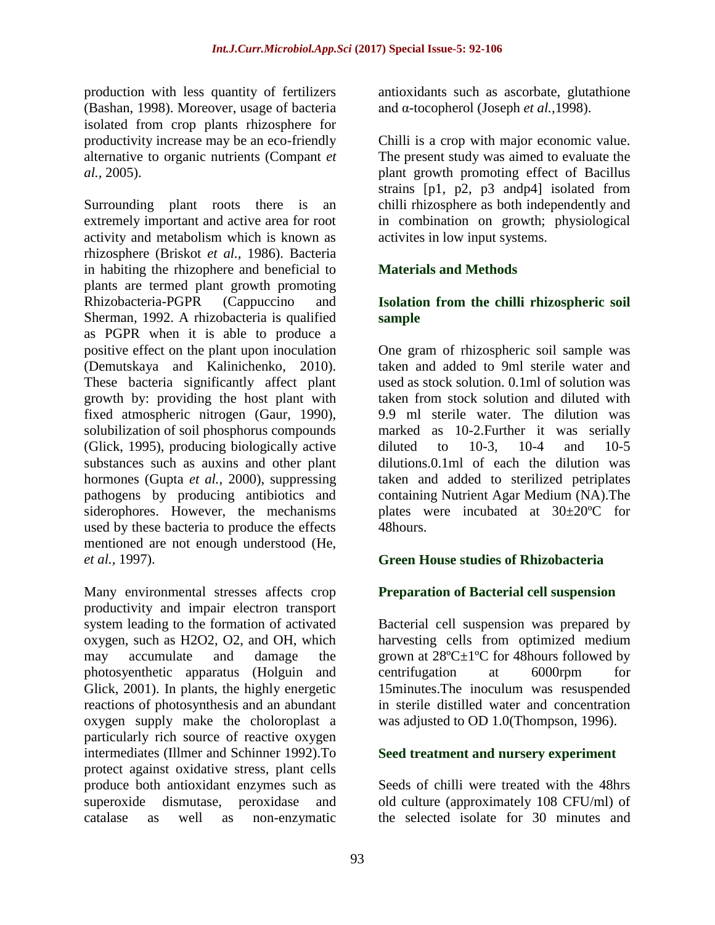production with less quantity of fertilizers (Bashan, 1998). Moreover, usage of bacteria isolated from crop plants rhizosphere for productivity increase may be an eco-friendly alternative to organic nutrients (Compant *et al.,* 2005).

Surrounding plant roots there is an extremely important and active area for root activity and metabolism which is known as rhizosphere (Briskot *et al.,* 1986). Bacteria in habiting the rhizophere and beneficial to plants are termed plant growth promoting Rhizobacteria-PGPR (Cappuccino and Sherman, 1992. A rhizobacteria is qualified as PGPR when it is able to produce a positive effect on the plant upon inoculation (Demutskaya and Kalinichenko, 2010). These bacteria significantly affect plant growth by: providing the host plant with fixed atmospheric nitrogen (Gaur, 1990), solubilization of soil phosphorus compounds (Glick, 1995), producing biologically active substances such as auxins and other plant hormones (Gupta *et al.,* 2000), suppressing pathogens by producing antibiotics and siderophores. However, the mechanisms used by these bacteria to produce the effects mentioned are not enough understood (He, *et al.,* 1997).

Many environmental stresses affects crop productivity and impair electron transport system leading to the formation of activated oxygen, such as H2O2, O2, and OH, which may accumulate and damage the photosyenthetic apparatus (Holguin and Glick, 2001). In plants, the highly energetic reactions of photosynthesis and an abundant oxygen supply make the choloroplast a particularly rich source of reactive oxygen intermediates (Illmer and Schinner 1992).To protect against oxidative stress, plant cells produce both antioxidant enzymes such as superoxide dismutase, peroxidase and catalase as well as non-enzymatic

antioxidants such as ascorbate, glutathione and α-tocopherol (Joseph *et al.,*1998).

Chilli is a crop with major economic value. The present study was aimed to evaluate the plant growth promoting effect of Bacillus strains [p1, p2, p3 andp4] isolated from chilli rhizosphere as both independently and in combination on growth; physiological activites in low input systems.

### **Materials and Methods**

#### **Isolation from the chilli rhizospheric soil sample**

One gram of rhizospheric soil sample was taken and added to 9ml sterile water and used as stock solution. 0.1ml of solution was taken from stock solution and diluted with 9.9 ml sterile water. The dilution was marked as 10-2.Further it was serially diluted to 10-3, 10-4 and 10-5 dilutions.0.1ml of each the dilution was taken and added to sterilized petriplates containing Nutrient Agar Medium (NA).The plates were incubated at 30±20ºC for 48hours.

### **Green House studies of Rhizobacteria**

#### **Preparation of Bacterial cell suspension**

Bacterial cell suspension was prepared by harvesting cells from optimized medium grown at  $28^{\circ}$ C $\pm$ 1°C for 48 hours followed by centrifugation at 6000rpm for 15minutes.The inoculum was resuspended in sterile distilled water and concentration was adjusted to OD 1.0(Thompson, 1996).

#### **Seed treatment and nursery experiment**

Seeds of chilli were treated with the 48hrs old culture (approximately 108 CFU/ml) of the selected isolate for 30 minutes and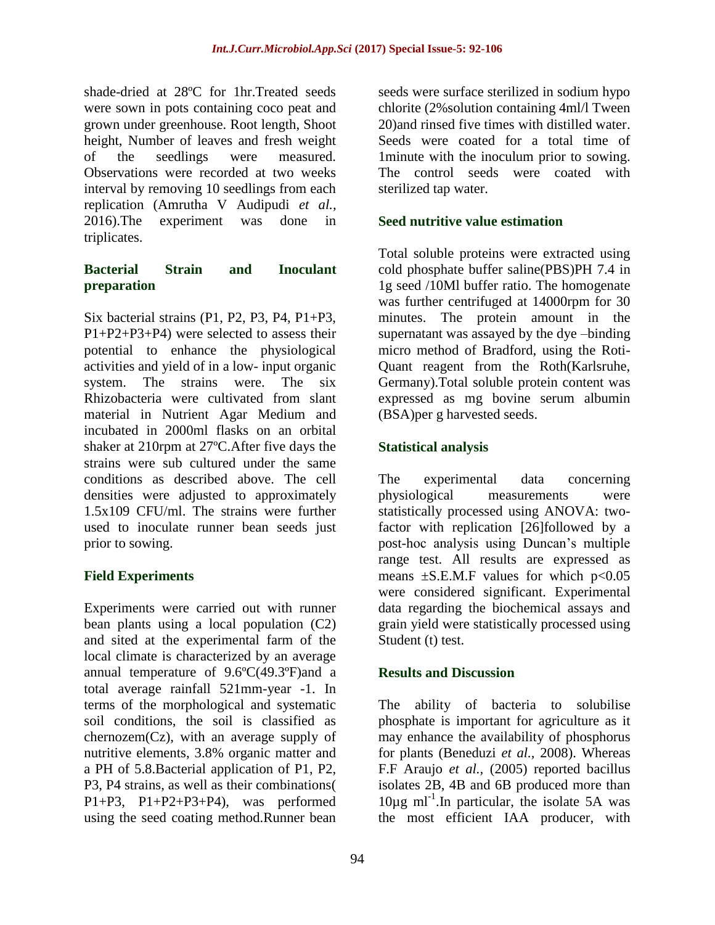shade-dried at 28ºC for 1hr.Treated seeds were sown in pots containing coco peat and grown under greenhouse. Root length, Shoot height, Number of leaves and fresh weight of the seedlings were measured. Observations were recorded at two weeks interval by removing 10 seedlings from each replication (Amrutha V Audipudi *et al.,* 2016).The experiment was done in triplicates.

#### **Bacterial Strain and Inoculant preparation**

Six bacterial strains (P1, P2, P3, P4, P1+P3, P1+P2+P3+P4) were selected to assess their potential to enhance the physiological activities and yield of in a low- input organic system. The strains were. The six Rhizobacteria were cultivated from slant material in Nutrient Agar Medium and incubated in 2000ml flasks on an orbital shaker at 210rpm at 27ºC.After five days the strains were sub cultured under the same conditions as described above. The cell densities were adjusted to approximately 1.5x109 CFU/ml. The strains were further used to inoculate runner bean seeds just prior to sowing.

### **Field Experiments**

Experiments were carried out with runner bean plants using a local population (C2) and sited at the experimental farm of the local climate is characterized by an average annual temperature of 9.6ºC(49.3ºF)and a total average rainfall 521mm-year -1. In terms of the morphological and systematic soil conditions, the soil is classified as chernozem(Cz), with an average supply of nutritive elements, 3.8% organic matter and a PH of 5.8.Bacterial application of P1, P2, P3, P4 strains, as well as their combinations( P1+P3, P1+P2+P3+P4), was performed using the seed coating method.Runner bean

seeds were surface sterilized in sodium hypo chlorite (2%solution containing 4ml/l Tween 20)and rinsed five times with distilled water. Seeds were coated for a total time of 1minute with the inoculum prior to sowing. The control seeds were coated with sterilized tap water.

## **Seed nutritive value estimation**

Total soluble proteins were extracted using cold phosphate buffer saline(PBS)PH 7.4 in 1g seed /10Ml buffer ratio. The homogenate was further centrifuged at 14000rpm for 30 minutes. The protein amount in the supernatant was assayed by the dye –binding micro method of Bradford, using the Roti-Quant reagent from the Roth(Karlsruhe, Germany).Total soluble protein content was expressed as mg bovine serum albumin (BSA)per g harvested seeds.

#### **Statistical analysis**

The experimental data concerning physiological measurements were statistically processed using ANOVA: twofactor with replication [26]followed by a post-hoc analysis using Duncan's multiple range test. All results are expressed as means  $\pm$ S.E.M.F values for which p<0.05 were considered significant. Experimental data regarding the biochemical assays and grain yield were statistically processed using Student (t) test.

#### **Results and Discussion**

The ability of bacteria to solubilise phosphate is important for agriculture as it may enhance the availability of phosphorus for plants (Beneduzi *et al.,* 2008). Whereas F.F Araujo *et al.,* (2005) reported bacillus isolates 2B, 4B and 6B produced more than 10µg ml-1 .In particular, the isolate 5A was the most efficient IAA producer, with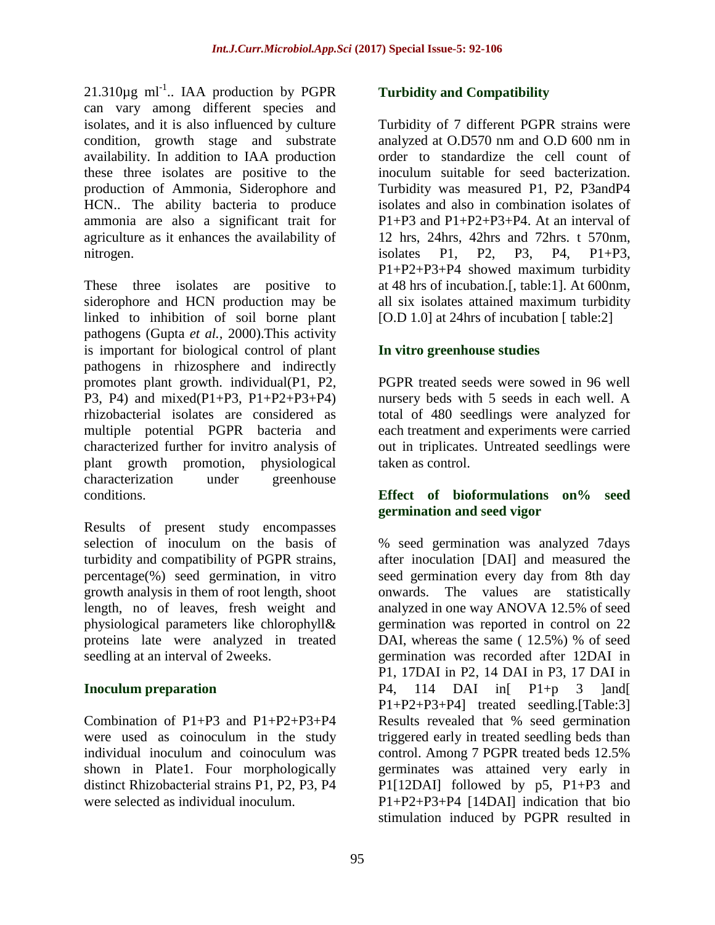$21.310 \mu g$  ml<sup>-1</sup>.. IAA production by PGPR can vary among different species and isolates, and it is also influenced by culture condition, growth stage and substrate availability. In addition to IAA production these three isolates are positive to the production of Ammonia, Siderophore and HCN.. The ability bacteria to produce ammonia are also a significant trait for agriculture as it enhances the availability of nitrogen.

These three isolates are positive to siderophore and HCN production may be linked to inhibition of soil borne plant pathogens (Gupta *et al.,* 2000).This activity is important for biological control of plant pathogens in rhizosphere and indirectly promotes plant growth. individual(P1, P2, P3, P4) and mixed(P1+P3, P1+P2+P3+P4) rhizobacterial isolates are considered as multiple potential PGPR bacteria and characterized further for invitro analysis of plant growth promotion, physiological characterization under greenhouse conditions.

Results of present study encompasses selection of inoculum on the basis of turbidity and compatibility of PGPR strains, percentage(%) seed germination, in vitro growth analysis in them of root length, shoot length, no of leaves, fresh weight and physiological parameters like chlorophyll& proteins late were analyzed in treated seedling at an interval of 2weeks.

#### **Inoculum preparation**

Combination of P1+P3 and P1+P2+P3+P4 were used as coinoculum in the study individual inoculum and coinoculum was shown in Plate1. Four morphologically distinct Rhizobacterial strains P1, P2, P3, P4 were selected as individual inoculum.

#### **Turbidity and Compatibility**

Turbidity of 7 different PGPR strains were analyzed at O.D570 nm and O.D 600 nm in order to standardize the cell count of inoculum suitable for seed bacterization. Turbidity was measured P1, P2, P3andP4 isolates and also in combination isolates of P1+P3 and P1+P2+P3+P4. At an interval of 12 hrs, 24hrs, 42hrs and 72hrs. t 570nm, isolates P1, P2, P3, P4, P1+P3, P1+P2+P3+P4 showed maximum turbidity at 48 hrs of incubation.[, table:1]. At 600nm, all six isolates attained maximum turbidity [O.D 1.0] at 24hrs of incubation [ table:2]

#### **In vitro greenhouse studies**

PGPR treated seeds were sowed in 96 well nursery beds with 5 seeds in each well. A total of 480 seedlings were analyzed for each treatment and experiments were carried out in triplicates. Untreated seedlings were taken as control.

#### **Effect of bioformulations on% seed germination and seed vigor**

% seed germination was analyzed 7days after inoculation [DAI] and measured the seed germination every day from 8th day onwards. The values are statistically analyzed in one way ANOVA 12.5% of seed germination was reported in control on 22 DAI, whereas the same (12.5%) % of seed germination was recorded after 12DAI in P1, 17DAI in P2, 14 DAI in P3, 17 DAI in P4, 114 DAI in  $P1+p$  3  $|$ and P1+P2+P3+P4] treated seedling.[Table:3] Results revealed that % seed germination triggered early in treated seedling beds than control. Among 7 PGPR treated beds 12.5% germinates was attained very early in P1[12DAI] followed by p5, P1+P3 and P1+P2+P3+P4 [14DAI] indication that bio stimulation induced by PGPR resulted in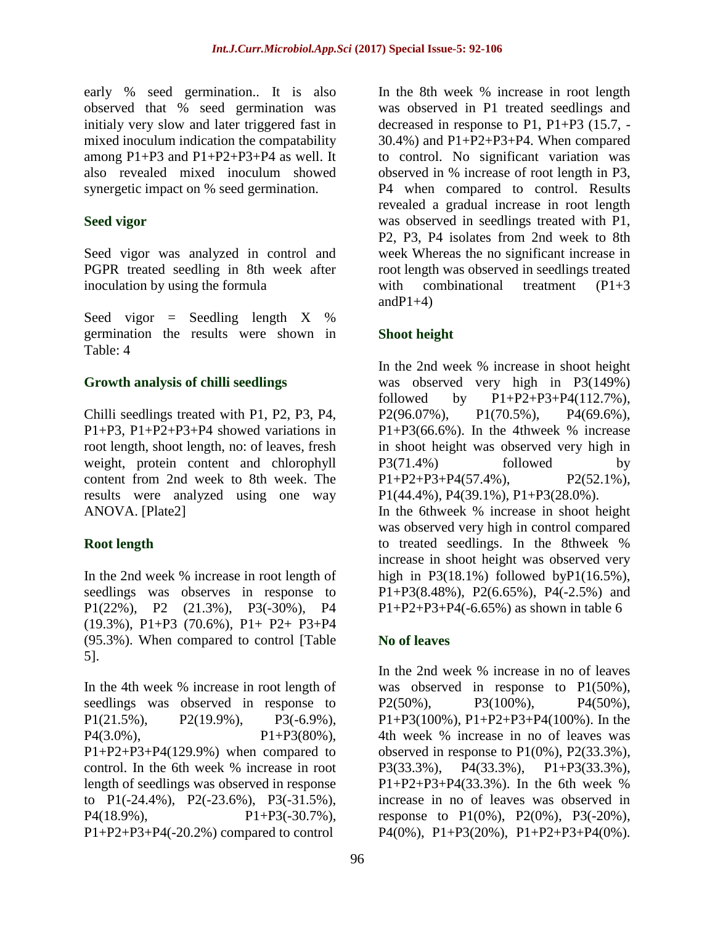early % seed germination.. It is also observed that % seed germination was initialy very slow and later triggered fast in mixed inoculum indication the compatability among  $P1+P3$  and  $P1+P2+P3+P4$  as well. It also revealed mixed inoculum showed synergetic impact on % seed germination.

#### **Seed vigor**

Seed vigor was analyzed in control and PGPR treated seedling in 8th week after inoculation by using the formula

Seed vigor = Seedling length  $X \%$ germination the results were shown in Table: 4

### **Growth analysis of chilli seedlings**

Chilli seedlings treated with P1, P2, P3, P4, P1+P3, P1+P2+P3+P4 showed variations in root length, shoot length, no: of leaves, fresh weight, protein content and chlorophyll content from 2nd week to 8th week. The results were analyzed using one way ANOVA. [Plate2]

### **Root length**

In the 2nd week % increase in root length of seedlings was observes in response to P1(22%), P2 (21.3%), P3(-30%), P4 (19.3%), P1+P3 (70.6%), P1+ P2+ P3+P4 (95.3%). When compared to control [Table 5].

In the 4th week % increase in root length of seedlings was observed in response to P1(21.5%), P2(19.9%), P3(-6.9%),  $P4(3.0\%)$ ,  $P1+P3(80\%)$ , P1+P2+P3+P4(129.9%) when compared to control. In the 6th week % increase in root length of seedlings was observed in response to P1(-24.4%), P2(-23.6%), P3(-31.5%),  $P4(18.9\%)$ ,  $P1+P3(-30.7\%)$ , P1+P2+P3+P4(-20.2%) compared to control

In the 8th week % increase in root length was observed in P1 treated seedlings and decreased in response to P1, P1+P3 (15.7, - 30.4%) and P1+P2+P3+P4. When compared to control. No significant variation was observed in % increase of root length in P3, P4 when compared to control. Results revealed a gradual increase in root length was observed in seedlings treated with P1, P2, P3, P4 isolates from 2nd week to 8th week Whereas the no significant increase in root length was observed in seedlings treated with combinational treatment (P1+3) and  $P1+4$ )

### **Shoot height**

In the 2nd week % increase in shoot height was observed very high in P3(149%) followed by  $P1 + P2 + P3 + P4(112.7\%)$ , P2(96.07%), P1(70.5%), P4(69.6%),  $P1+P3(66.6\%)$ . In the 4thweek % increase in shoot height was observed very high in P3(71.4%) followed by  $P1+P2+P3+P4(57.4\%)$ ,  $P2(52.1\%)$ P1(44.4%), P4(39.1%), P1+P3(28.0%). In the 6thweek % increase in shoot height was observed very high in control compared to treated seedlings. In the 8thweek % increase in shoot height was observed very high in  $P3(18.1\%)$  followed by $P1(16.5\%)$ , P1+P3(8.48%), P2(6.65%), P4(-2.5%) and  $P1+P2+P3+P4(-6.65%)$  as shown in table 6

### **No of leaves**

In the 2nd week % increase in no of leaves was observed in response to P1(50%),  $P2(50\%)$ ,  $P3(100\%)$ ,  $P4(50\%)$ P1+P3(100%), P1+P2+P3+P4(100%). In the 4th week % increase in no of leaves was observed in response to P1(0%), P2(33.3%), P3(33.3%), P4(33.3%), P1+P3(33.3%), P1+P2+P3+P4(33.3%). In the 6th week % increase in no of leaves was observed in response to  $P1(0\%)$ ,  $P2(0\%)$ ,  $P3(-20\%)$ ,  $P4(0\%)$ ,  $P1+P3(20\%)$ ,  $P1+P2+P3+P4(0\%)$ .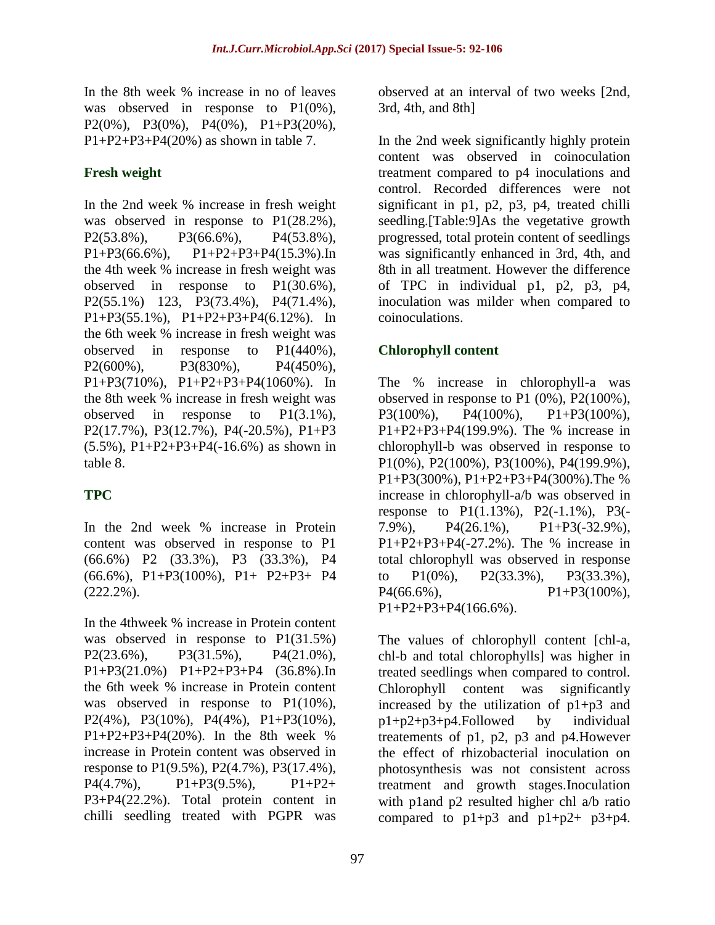In the 8th week % increase in no of leaves was observed in response to P1(0%), P2(0%), P3(0%), P4(0%), P1+P3(20%),  $P1 + P2 + P3 + P4(20%)$  as shown in table 7.

### **Fresh weight**

In the 2nd week % increase in fresh weight was observed in response to P1(28.2%), P2(53.8%), P3(66.6%), P4(53.8%),  $P1+P3(66.6\%)$ ,  $P1+P2+P3+P4(15.3\%)$ . In the 4th week % increase in fresh weight was observed in response to P1(30.6%), P2(55.1%) 123, P3(73.4%), P4(71.4%), P1+P3(55.1%), P1+P2+P3+P4(6.12%). In the 6th week % increase in fresh weight was observed in response to P1(440%), P2(600%), P3(830%), P4(450%), P1+P3(710%), P1+P2+P3+P4(1060%). In the 8th week % increase in fresh weight was observed in response to P1(3.1%), P2(17.7%), P3(12.7%), P4(-20.5%), P1+P3 (5.5%), P1+P2+P3+P4(-16.6%) as shown in table 8.

# **TPC**

In the 2nd week % increase in Protein content was observed in response to P1 (66.6%) P2 (33.3%), P3 (33.3%), P4 (66.6%), P1+P3(100%), P1+ P2+P3+ P4 (222.2%).

In the 4thweek % increase in Protein content was observed in response to P1(31.5%) P2(23.6%), P3(31.5%), P4(21.0%), P1+P3(21.0%) P1+P2+P3+P4 (36.8%).In the 6th week % increase in Protein content was observed in response to P1(10%), P2(4%), P3(10%), P4(4%), P1+P3(10%),  $P1+P2+P3+P4(20%)$ . In the 8th week % increase in Protein content was observed in response to P1(9.5%), P2(4.7%), P3(17.4%),  $P4(4.7\%)$ ,  $P1+P3(9.5\%)$ ,  $P1+P2+$ P3+P4(22.2%). Total protein content in chilli seedling treated with PGPR was

observed at an interval of two weeks [2nd, 3rd, 4th, and 8th]

In the 2nd week significantly highly protein content was observed in coinoculation treatment compared to p4 inoculations and control. Recorded differences were not significant in p1, p2, p3, p4, treated chilli seedling.[Table:9]As the vegetative growth progressed, total protein content of seedlings was significantly enhanced in 3rd, 4th, and 8th in all treatment. However the difference of TPC in individual p1, p2, p3, p4, inoculation was milder when compared to coinoculations.

# **Chlorophyll content**

The % increase in chlorophyll-a was observed in response to P1 (0%), P2(100%), P3(100%), P4(100%), P1+P3(100%), P1+P2+P3+P4(199.9%). The % increase in chlorophyll-b was observed in response to P1(0%), P2(100%), P3(100%), P4(199.9%), P1+P3(300%), P1+P2+P3+P4(300%).The % increase in chlorophyll-a/b was observed in response to P1(1.13%), P2(-1.1%), P3(- 7.9%),  $P4(26.1\%)$ ,  $P1+P3(-32.9\%).$ P1+P2+P3+P4(-27.2%). The % increase in total chlorophyll was observed in response to P1(0%), P2(33.3%), P3(33.3%),  $P4(66.6\%)$ ,  $P1+P3(100\%)$ , P1+P2+P3+P4(166.6%).

The values of chlorophyll content [chl-a, chl-b and total chlorophylls] was higher in treated seedlings when compared to control. Chlorophyll content was significantly increased by the utilization of  $p1+p3$  and p1+p2+p3+p4.Followed by individual treatements of p1, p2, p3 and p4.However the effect of rhizobacterial inoculation on photosynthesis was not consistent across treatment and growth stages.Inoculation with p1and p2 resulted higher chl a/b ratio compared to  $p1+p3$  and  $p1+p2+p3+p4$ .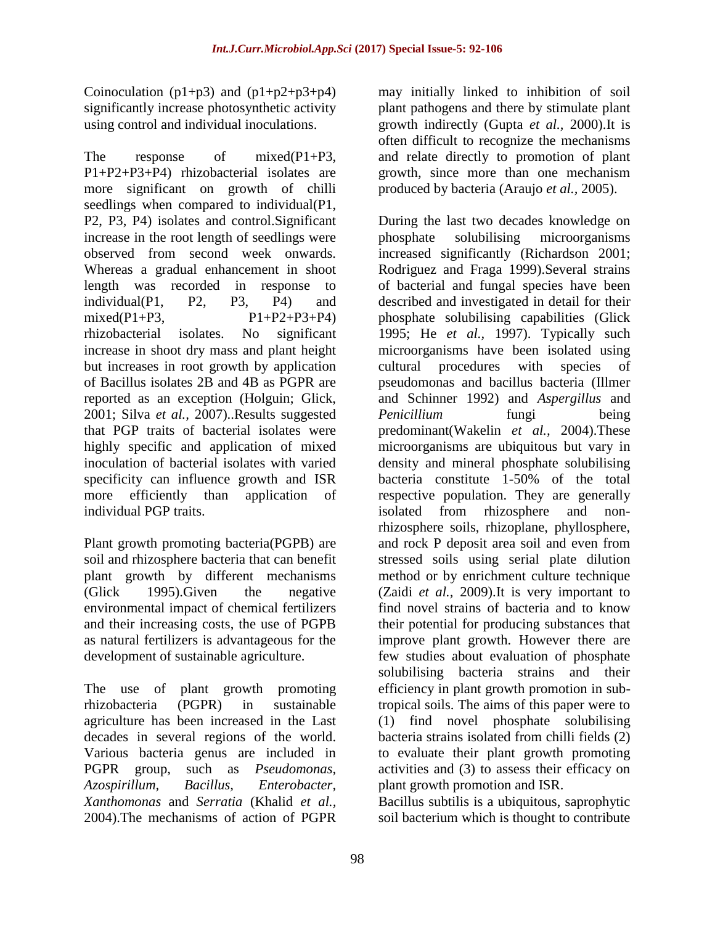Coinoculation ( $p1+p3$ ) and ( $p1+p2+p3+p4$ ) significantly increase photosynthetic activity using control and individual inoculations.

The response of mixed(P1+P3, P1+P2+P3+P4) rhizobacterial isolates are more significant on growth of chilli seedlings when compared to individual(P1, P2, P3, P4) isolates and control.Significant increase in the root length of seedlings were observed from second week onwards. Whereas a gradual enhancement in shoot length was recorded in response to individual(P1, P2, P3, P4) and mixed(P1+P3,  $P1+P2+P3+P4$ ) rhizobacterial isolates. No significant increase in shoot dry mass and plant height but increases in root growth by application of Bacillus isolates 2B and 4B as PGPR are reported as an exception (Holguin; Glick, 2001; Silva *et al.,* 2007)..Results suggested that PGP traits of bacterial isolates were highly specific and application of mixed inoculation of bacterial isolates with varied specificity can influence growth and ISR more efficiently than application of individual PGP traits.

Plant growth promoting bacteria(PGPB) are soil and rhizosphere bacteria that can benefit plant growth by different mechanisms (Glick 1995).Given the negative environmental impact of chemical fertilizers and their increasing costs, the use of PGPB as natural fertilizers is advantageous for the development of sustainable agriculture.

The use of plant growth promoting rhizobacteria (PGPR) in sustainable agriculture has been increased in the Last decades in several regions of the world. Various bacteria genus are included in PGPR group, such as *Pseudomonas, Azospirillum, Bacillus, Enterobacter, Xanthomonas* and *Serratia* (Khalid *et al.,* 2004).The mechanisms of action of PGPR

may initially linked to inhibition of soil plant pathogens and there by stimulate plant growth indirectly (Gupta *et al.,* 2000).It is often difficult to recognize the mechanisms and relate directly to promotion of plant growth, since more than one mechanism produced by bacteria (Araujo *et al.,* 2005).

During the last two decades knowledge on phosphate solubilising microorganisms increased significantly (Richardson 2001; Rodriguez and Fraga 1999).Several strains of bacterial and fungal species have been described and investigated in detail for their phosphate solubilising capabilities (Glick 1995; He *et al.,* 1997). Typically such microorganisms have been isolated using cultural procedures with species of pseudomonas and bacillus bacteria (Illmer and Schinner 1992) and *Aspergillus* and *Penicillium* fungi being predominant(Wakelin *et al.,* 2004).These microorganisms are ubiquitous but vary in density and mineral phosphate solubilising bacteria constitute 1-50% of the total respective population. They are generally isolated from rhizosphere and nonrhizosphere soils, rhizoplane, phyllosphere, and rock P deposit area soil and even from stressed soils using serial plate dilution method or by enrichment culture technique (Zaidi *et al.,* 2009).It is very important to find novel strains of bacteria and to know their potential for producing substances that improve plant growth. However there are few studies about evaluation of phosphate solubilising bacteria strains and their efficiency in plant growth promotion in subtropical soils. The aims of this paper were to (1) find novel phosphate solubilising bacteria strains isolated from chilli fields (2) to evaluate their plant growth promoting activities and (3) to assess their efficacy on plant growth promotion and ISR.

Bacillus subtilis is a ubiquitous, saprophytic soil bacterium which is thought to contribute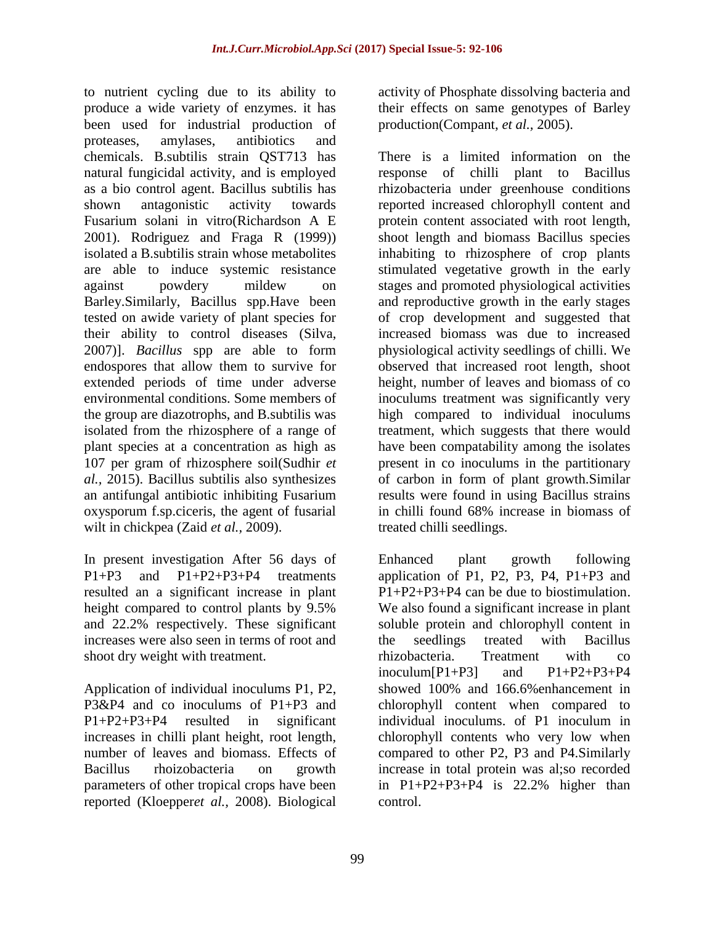to nutrient cycling due to its ability to produce a wide variety of enzymes. it has been used for industrial production of proteases, amylases, antibiotics and chemicals. B.subtilis strain QST713 has natural fungicidal activity, and is employed as a bio control agent. Bacillus subtilis has shown antagonistic activity towards Fusarium solani in vitro(Richardson A E 2001). Rodriguez and Fraga R (1999)) isolated a B.subtilis strain whose metabolites are able to induce systemic resistance against powdery mildew on Barley.Similarly, Bacillus spp.Have been tested on awide variety of plant species for their ability to control diseases (Silva, 2007)]. *Bacillus* spp are able to form endospores that allow them to survive for extended periods of time under adverse environmental conditions. Some members of the group are diazotrophs, and B.subtilis was isolated from the rhizosphere of a range of plant species at a concentration as high as 107 per gram of rhizosphere soil(Sudhir *et al.,* 2015). Bacillus subtilis also synthesizes an antifungal antibiotic inhibiting Fusarium oxysporum f.sp.ciceris, the agent of fusarial wilt in chickpea (Zaid *et al.,* 2009).

In present investigation After 56 days of P1+P3 and P1+P2+P3+P4 treatments resulted an a significant increase in plant height compared to control plants by 9.5% and 22.2% respectively. These significant increases were also seen in terms of root and shoot dry weight with treatment.

Application of individual inoculums P1, P2, P3&P4 and co inoculums of P1+P3 and P1+P2+P3+P4 resulted in significant increases in chilli plant height, root length, number of leaves and biomass. Effects of Bacillus rhoizobacteria on growth parameters of other tropical crops have been reported (Kloepper*et al.,* 2008). Biological activity of Phosphate dissolving bacteria and their effects on same genotypes of Barley production(Compant, *et al.,* 2005).

There is a limited information on the response of chilli plant to Bacillus rhizobacteria under greenhouse conditions reported increased chlorophyll content and protein content associated with root length, shoot length and biomass Bacillus species inhabiting to rhizosphere of crop plants stimulated vegetative growth in the early stages and promoted physiological activities and reproductive growth in the early stages of crop development and suggested that increased biomass was due to increased physiological activity seedlings of chilli. We observed that increased root length, shoot height, number of leaves and biomass of co inoculums treatment was significantly very high compared to individual inoculums treatment, which suggests that there would have been compatability among the isolates present in co inoculums in the partitionary of carbon in form of plant growth.Similar results were found in using Bacillus strains in chilli found 68% increase in biomass of treated chilli seedlings.

Enhanced plant growth following application of P1, P2, P3, P4,  $P1+P3$  and P1+P2+P3+P4 can be due to biostimulation. We also found a significant increase in plant soluble protein and chlorophyll content in the seedlings treated with Bacillus rhizobacteria. Treatment with co inoculum $[P1+P3]$  and  $P1+P2+P3+P4$ showed 100% and 166.6%enhancement in chlorophyll content when compared to individual inoculums. of P1 inoculum in chlorophyll contents who very low when compared to other P2, P3 and P4.Similarly increase in total protein was al;so recorded in P1+P2+P3+P4 is 22.2% higher than control.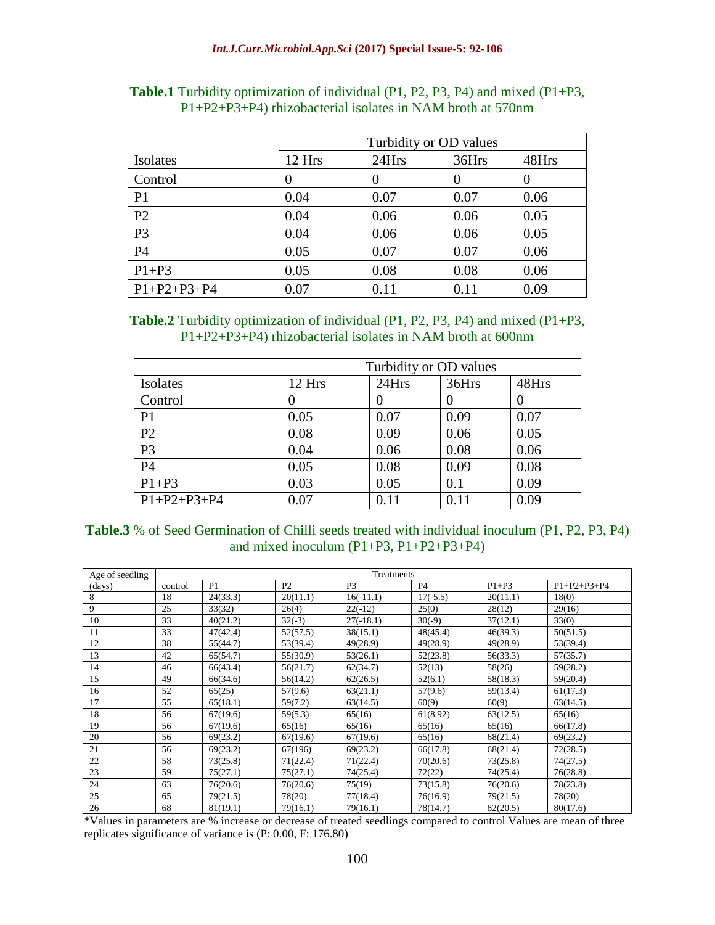|                     | Turbidity or OD values |          |       |          |  |
|---------------------|------------------------|----------|-------|----------|--|
| Isolates            | 12 Hrs                 | 24Hrs    | 36Hrs | 48Hrs    |  |
| Control             | 0                      | $\theta$ |       | $\theta$ |  |
| P <sub>1</sub>      | 0.04                   | 0.07     | 0.07  | 0.06     |  |
| P <sub>2</sub>      | 0.04                   | 0.06     | 0.06  | 0.05     |  |
| P <sub>3</sub>      | 0.04                   | 0.06     | 0.06  | 0.05     |  |
| P <sub>4</sub>      | 0.05                   | 0.07     | 0.07  | 0.06     |  |
| $P1+P3$             | 0.05                   | 0.08     | 0.08  | 0.06     |  |
| $P1 + P2 + P3 + P4$ | 0.07                   | 0.11     | 0.11  | 0.09     |  |

**Table.1** Turbidity optimization of individual (P1, P2, P3, P4) and mixed (P1+P3, P1+P2+P3+P4) rhizobacterial isolates in NAM broth at 570nm

| <b>Table.2</b> Turbidity optimization of individual $(P1, P2, P3, P4)$ and mixed $(P1+P3, P4)$ |  |
|------------------------------------------------------------------------------------------------|--|
| $P1+P2+P3+P4$ ) rhizobacterial isolates in NAM broth at 600nm                                  |  |

|                     | Turbidity or OD values |       |          |       |  |
|---------------------|------------------------|-------|----------|-------|--|
| Isolates            | 12 Hrs                 | 24Hrs | 36Hrs    | 48Hrs |  |
| Control             |                        |       | $\theta$ | O     |  |
| P <sub>1</sub>      | 0.05                   | 0.07  | 0.09     | 0.07  |  |
| P <sub>2</sub>      | 0.08                   | 0.09  | 0.06     | 0.05  |  |
| P <sub>3</sub>      | 0.04                   | 0.06  | 0.08     | 0.06  |  |
| P <sub>4</sub>      | 0.05                   | 0.08  | 0.09     | 0.08  |  |
| $P1+P3$             | 0.03                   | 0.05  | 0.1      | 0.09  |  |
| $P1 + P2 + P3 + P4$ | 0.07                   | 0.11  | 0.11     | 0.09  |  |

| <b>Table.3</b> % of Seed Germination of Chilli seeds treated with individual inoculum (P1, P2, P3, P4) |  |  |
|--------------------------------------------------------------------------------------------------------|--|--|
| and mixed inoculum $(P1+P3, P1+P2+P3+P4)$                                                              |  |  |

| Age of seedling | Treatments |          |                |                |            |          |                     |
|-----------------|------------|----------|----------------|----------------|------------|----------|---------------------|
| (days)          | control    | P1       | P <sub>2</sub> | P <sub>3</sub> | <b>P4</b>  | $P1+P3$  | $P1 + P2 + P3 + P4$ |
| 8               | 18         | 24(33.3) | 20(11.1)       | $16(-11.1)$    | $17(-5.5)$ | 20(11.1) | 18(0)               |
| 9               | 25         | 33(32)   | 26(4)          | $22(-12)$      | 25(0)      | 28(12)   | 29(16)              |
| 10              | 33         | 40(21.2) | $32(-3)$       | $27(-18.1)$    | $30(-9)$   | 37(12.1) | 33(0)               |
| 11              | 33         | 47(42.4) | 52(57.5)       | 38(15.1)       | 48(45.4)   | 46(39.3) | 50(51.5)            |
| 12              | 38         | 55(44.7) | 53(39.4)       | 49(28.9)       | 49(28.9)   | 49(28.9) | 53(39.4)            |
| 13              | 42         | 65(54.7) | 55(30.9)       | 53(26.1)       | 52(23.8)   | 56(33.3) | 57(35.7)            |
| 14              | 46         | 66(43.4) | 56(21.7)       | 62(34.7)       | 52(13)     | 58(26)   | 59(28.2)            |
| 15              | 49         | 66(34.6) | 56(14.2)       | 62(26.5)       | 52(6.1)    | 58(18.3) | 59(20.4)            |
| 16              | 52         | 65(25)   | 57(9.6)        | 63(21.1)       | 57(9.6)    | 59(13.4) | 61(17.3)            |
| 17              | 55         | 65(18.1) | 59(7.2)        | 63(14.5)       | 60(9)      | 60(9)    | 63(14.5)            |
| 18              | 56         | 67(19.6) | 59(5.3)        | 65(16)         | 61(8.92)   | 63(12.5) | 65(16)              |
| 19              | 56         | 67(19.6) | 65(16)         | 65(16)         | 65(16)     | 65(16)   | 66(17.8)            |
| 20              | 56         | 69(23.2) | 67(19.6)       | 67(19.6)       | 65(16)     | 68(21.4) | 69(23.2)            |
| 21              | 56         | 69(23.2) | 67(196)        | 69(23.2)       | 66(17.8)   | 68(21.4) | 72(28.5)            |
| 22              | 58         | 73(25.8) | 71(22.4)       | 71(22.4)       | 70(20.6)   | 73(25.8) | 74(27.5)            |
| 23              | 59         | 75(27.1) | 75(27.1)       | 74(25.4)       | 72(22)     | 74(25.4) | 76(28.8)            |
| 24              | 63         | 76(20.6) | 76(20.6)       | 75(19)         | 73(15.8)   | 76(20.6) | 78(23.8)            |
| 25              | 65         | 79(21.5) | 78(20)         | 77(18.4)       | 76(16.9)   | 79(21.5) | 78(20)              |
| 26              | 68         | 81(19.1) | 79(16.1)       | 79(16.1)       | 78(14.7)   | 82(20.5) | 80(17.6)            |

\*Values in parameters are % increase or decrease of treated seedlings compared to control Values are mean of three replicates significance of variance is (P: 0.00, F: 176.80)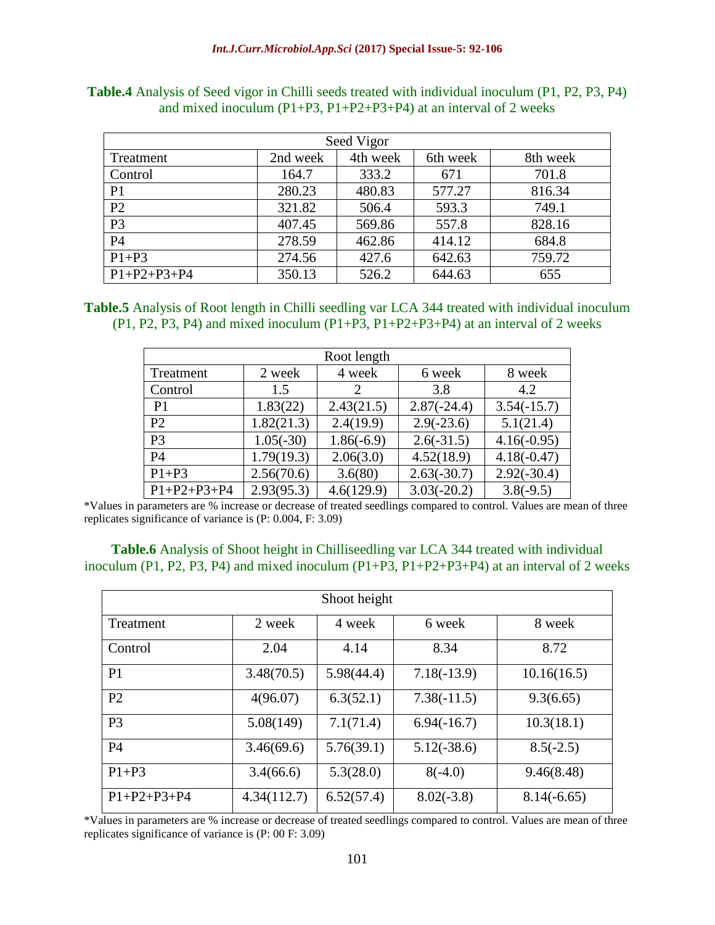| Seed Vigor          |          |          |          |          |  |  |
|---------------------|----------|----------|----------|----------|--|--|
| Treatment           | 2nd week | 4th week | 6th week | 8th week |  |  |
| Control             | 164.7    | 333.2    | 671      | 701.8    |  |  |
| P <sub>1</sub>      | 280.23   | 480.83   | 577.27   | 816.34   |  |  |
| P <sub>2</sub>      | 321.82   | 506.4    | 593.3    | 749.1    |  |  |
| P <sub>3</sub>      | 407.45   | 569.86   | 557.8    | 828.16   |  |  |
| P <sub>4</sub>      | 278.59   | 462.86   | 414.12   | 684.8    |  |  |
| $P1+P3$             | 274.56   | 427.6    | 642.63   | 759.72   |  |  |
| $P1 + P2 + P3 + P4$ | 350.13   | 526.2    | 644.63   | 655      |  |  |

**Table.4** Analysis of Seed vigor in Chilli seeds treated with individual inoculum (P1, P2, P3, P4) and mixed inoculum (P1+P3, P1+P2+P3+P4) at an interval of 2 weeks

**Table.5** Analysis of Root length in Chilli seedling var LCA 344 treated with individual inoculum  $(P1, P2, P3, P4)$  and mixed inoculum  $(P1+P3, P1+P2+P3+P4)$  at an interval of 2 weeks

| Root length         |             |                       |               |               |  |  |
|---------------------|-------------|-----------------------|---------------|---------------|--|--|
| Treatment           | 2 week      | 4 week                | 6 week        | 8 week        |  |  |
| Control             | 1.5         | $\mathcal{D}_{\cdot}$ | 3.8           | 4.2           |  |  |
| P <sub>1</sub>      | 1.83(22)    | 2.43(21.5)            | $2.87(-24.4)$ | $3.54(-15.7)$ |  |  |
| P <sub>2</sub>      | 1.82(21.3)  | 2.4(19.9)             | $2.9(-23.6)$  | 5.1(21.4)     |  |  |
| P <sub>3</sub>      | $1.05(-30)$ | $1.86(-6.9)$          | $2.6(-31.5)$  | $4.16(-0.95)$ |  |  |
| P <sub>4</sub>      | 1.79(19.3)  | 2.06(3.0)             | 4.52(18.9)    | $4.18(-0.47)$ |  |  |
| $P1+P3$             | 2.56(70.6)  | 3.6(80)               | $2.63(-30.7)$ | $2.92(-30.4)$ |  |  |
| $P1 + P2 + P3 + P4$ | 2.93(95.3)  | 4.6(129.9)            | $3.03(-20.2)$ | $3.8(-9.5)$   |  |  |

\*Values in parameters are % increase or decrease of treated seedlings compared to control. Values are mean of three replicates significance of variance is (P: 0.004, F: 3.09)

| <b>Table.6</b> Analysis of Shoot height in Chilliseedling var LCA 344 treated with individual |  |
|-----------------------------------------------------------------------------------------------|--|
| inoculum (P1, P2, P3, P4) and mixed inoculum (P1+P3, P1+P2+P3+P4) at an interval of 2 weeks   |  |

| Shoot height        |             |            |               |               |  |  |
|---------------------|-------------|------------|---------------|---------------|--|--|
| Treatment           | 2 week      | 4 week     | 6 week        | 8 week        |  |  |
| Control             | 2.04        | 4.14       | 8.34          | 8.72          |  |  |
| P <sub>1</sub>      | 3.48(70.5)  | 5.98(44.4) | $7.18(-13.9)$ | 10.16(16.5)   |  |  |
| P2                  | 4(96.07)    | 6.3(52.1)  | $7.38(-11.5)$ | 9.3(6.65)     |  |  |
| P <sub>3</sub>      | 5.08(149)   | 7.1(71.4)  | $6.94(-16.7)$ | 10.3(18.1)    |  |  |
| <b>P4</b>           | 3.46(69.6)  | 5.76(39.1) | $5.12(-38.6)$ | $8.5(-2.5)$   |  |  |
| $P1+P3$             | 3.4(66.6)   | 5.3(28.0)  | $8(-4.0)$     | 9.46(8.48)    |  |  |
| $P1 + P2 + P3 + P4$ | 4.34(112.7) | 6.52(57.4) | $8.02(-3.8)$  | $8.14(-6.65)$ |  |  |

\*Values in parameters are % increase or decrease of treated seedlings compared to control. Values are mean of three replicates significance of variance is (P: 00 F: 3.09)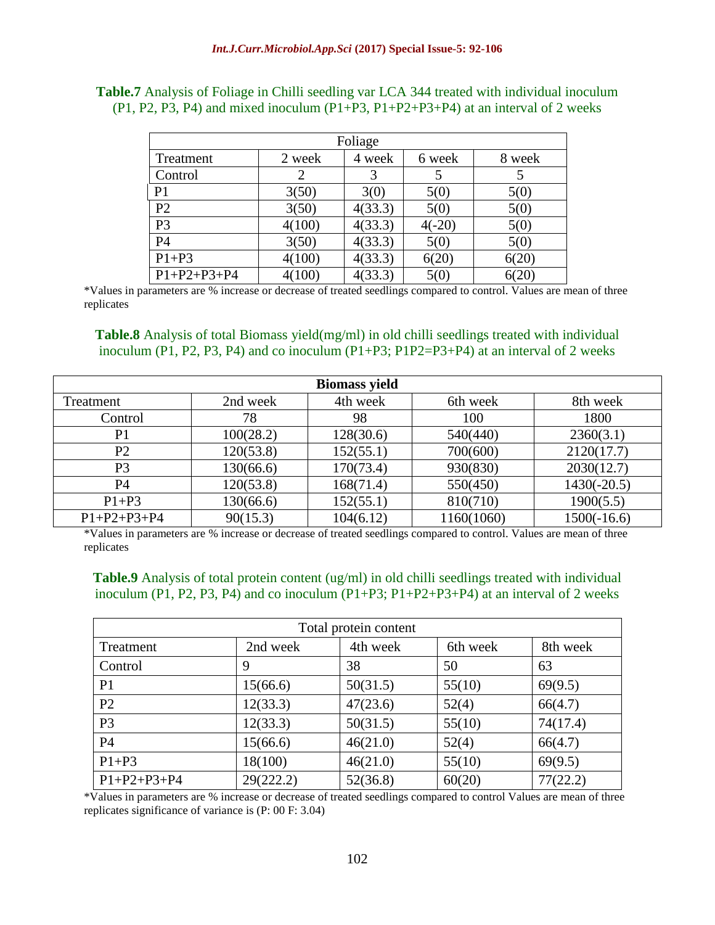| Foliage             |        |         |          |        |  |  |
|---------------------|--------|---------|----------|--------|--|--|
| Treatment           | 2 week | 4 week  | 6 week   | 8 week |  |  |
| Control             |        |         |          |        |  |  |
| P <sub>1</sub>      | 3(50)  | 3(0)    | 5(0)     | 5(0)   |  |  |
| P <sub>2</sub>      | 3(50)  | 4(33.3) | 5(0)     | 5(0)   |  |  |
| P <sub>3</sub>      | 4(100) | 4(33.3) | $4(-20)$ | 5(0)   |  |  |
| P <sub>4</sub>      | 3(50)  | 4(33.3) | 5(0)     | 5(0)   |  |  |
| $P1+P3$             | 4(100) | 4(33.3) | 6(20)    | 6(20)  |  |  |
| $P1 + P2 + P3 + P4$ | 4(100) | 4(33.3) | 5(0)     | 6(20)  |  |  |

**Table.7** Analysis of Foliage in Chilli seedling var LCA 344 treated with individual inoculum (P1, P2, P3, P4) and mixed inoculum (P1+P3, P1+P2+P3+P4) at an interval of 2 weeks

\*Values in parameters are % increase or decrease of treated seedlings compared to control. Values are mean of three replicates

**Table.8** Analysis of total Biomass yield(mg/ml) in old chilli seedlings treated with individual inoculum (P1, P2, P3, P4) and co inoculum (P1+P3; P1P2=P3+P4) at an interval of 2 weeks

| <b>Biomass yield</b> |           |           |            |               |  |  |
|----------------------|-----------|-----------|------------|---------------|--|--|
| Treatment            | 2nd week  | 4th week  | 6th week   | 8th week      |  |  |
| Control              | 78        | 98        | 100        | 1800          |  |  |
| P <sub>1</sub>       | 100(28.2) | 128(30.6) | 540(440)   | 2360(3.1)     |  |  |
| P <sub>2</sub>       | 120(53.8) | 152(55.1) | 700(600)   | 2120(17.7)    |  |  |
| P <sub>3</sub>       | 130(66.6) | 170(73.4) | 930(830)   | 2030(12.7)    |  |  |
| P <sub>4</sub>       | 120(53.8) | 168(71.4) | 550(450)   | $1430(-20.5)$ |  |  |
| $P1+P3$              | 130(66.6) | 152(55.1) | 810(710)   | 1900(5.5)     |  |  |
| $P1 + P2 + P3 + P4$  | 90(15.3)  | 104(6.12) | 1160(1060) | $1500(-16.6)$ |  |  |

\*Values in parameters are % increase or decrease of treated seedlings compared to control. Values are mean of three replicates

**Table.9** Analysis of total protein content (ug/ml) in old chilli seedlings treated with individual inoculum (P1, P2, P3, P4) and co inoculum (P1+P3;  $P1+P2+P3+P4$ ) at an interval of 2 weeks

| Total protein content |           |          |          |          |  |
|-----------------------|-----------|----------|----------|----------|--|
| Treatment             | 2nd week  | 4th week | 6th week | 8th week |  |
| Control               | 9         | 38       | 50       | 63       |  |
| P <sub>1</sub>        | 15(66.6)  | 50(31.5) | 55(10)   | 69(9.5)  |  |
| P2                    | 12(33.3)  | 47(23.6) | 52(4)    | 66(4.7)  |  |
| P <sub>3</sub>        | 12(33.3)  | 50(31.5) | 55(10)   | 74(17.4) |  |
| P4                    | 15(66.6)  | 46(21.0) | 52(4)    | 66(4.7)  |  |
| $P1+P3$               | 18(100)   | 46(21.0) | 55(10)   | 69(9.5)  |  |
| $P1 + P2 + P3 + P4$   | 29(222.2) | 52(36.8) | 60(20)   | 77(22.2) |  |

\*Values in parameters are % increase or decrease of treated seedlings compared to control Values are mean of three replicates significance of variance is (P: 00 F: 3.04)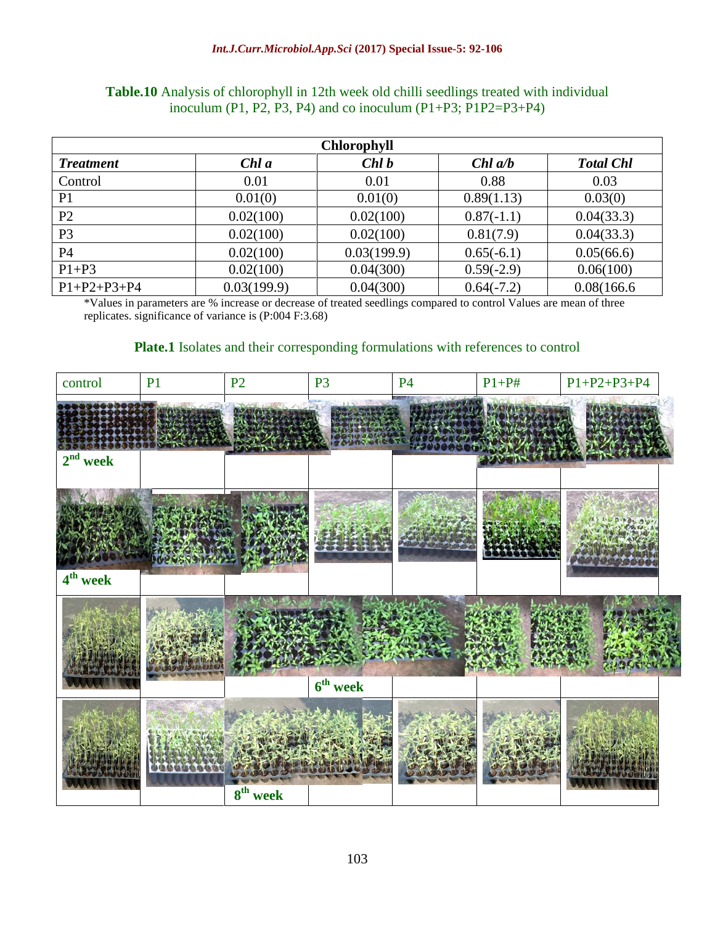| <b>Chlorophyll</b>  |             |             |              |                  |
|---------------------|-------------|-------------|--------------|------------------|
| <b>Treatment</b>    | Chl a       | Chl b       | $Chl$ $a/b$  | <b>Total Chl</b> |
| Control             | 0.01        | 0.01        | 0.88         | 0.03             |
| P <sub>1</sub>      | 0.01(0)     | 0.01(0)     | 0.89(1.13)   | 0.03(0)          |
| P <sub>2</sub>      | 0.02(100)   | 0.02(100)   | $0.87(-1.1)$ | 0.04(33.3)       |
| P <sub>3</sub>      | 0.02(100)   | 0.02(100)   | 0.81(7.9)    | 0.04(33.3)       |
| P4                  | 0.02(100)   | 0.03(199.9) | $0.65(-6.1)$ | 0.05(66.6)       |
| $P1+P3$             | 0.02(100)   | 0.04(300)   | $0.59(-2.9)$ | 0.06(100)        |
| $P1 + P2 + P3 + P4$ | 0.03(199.9) | 0.04(300)   | $0.64(-7.2)$ | 0.08(166.6)      |

### **Table.10** Analysis of chlorophyll in 12th week old chilli seedlings treated with individual inoculum (P1, P2, P3, P4) and co inoculum (P1+P3; P1P2=P3+P4)

\*Values in parameters are % increase or decrease of treated seedlings compared to control Values are mean of three replicates. significance of variance is (P:004 F:3.68)

#### **Plate.1** Isolates and their corresponding formulations with references to control

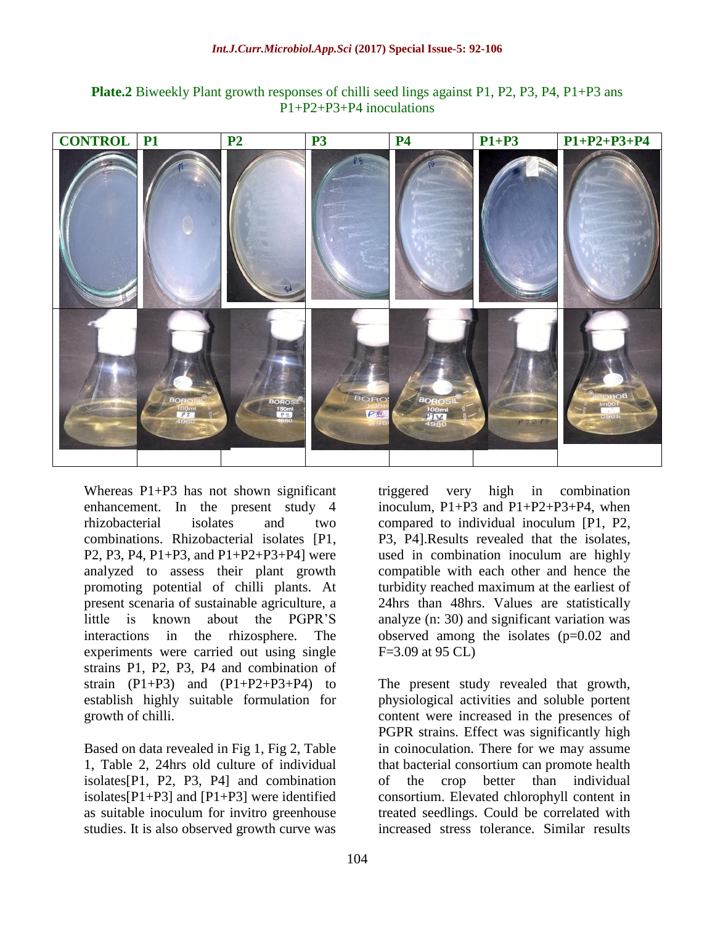**Plate.2** Biweekly Plant growth responses of chilli seed lings against P1, P2, P3, P4, P1+P3 ans P1+P2+P3+P4 inoculations



Whereas P1+P3 has not shown significant enhancement. In the present study 4 rhizobacterial isolates and two combinations. Rhizobacterial isolates [P1, P2, P3, P4, P1+P3, and P1+P2+P3+P4] were analyzed to assess their plant growth promoting potential of chilli plants. At present scenaria of sustainable agriculture, a little is known about the PGPR'S interactions in the rhizosphere. The experiments were carried out using single strains P1, P2, P3, P4 and combination of strain  $(P1+P3)$  and  $(P1+P2+P3+P4)$  to establish highly suitable formulation for growth of chilli.

Based on data revealed in Fig 1, Fig 2, Table 1, Table 2, 24hrs old culture of individual isolates[P1, P2, P3, P4] and combination isolates[P1+P3] and [P1+P3] were identified as suitable inoculum for invitro greenhouse studies. It is also observed growth curve was

triggered very high in combination inoculum, P1+P3 and P1+P2+P3+P4, when compared to individual inoculum [P1, P2, P3, P4].Results revealed that the isolates, used in combination inoculum are highly compatible with each other and hence the turbidity reached maximum at the earliest of 24hrs than 48hrs. Values are statistically analyze (n: 30) and significant variation was observed among the isolates (p=0.02 and F=3.09 at 95 CL)

The present study revealed that growth, physiological activities and soluble portent content were increased in the presences of PGPR strains. Effect was significantly high in coinoculation. There for we may assume that bacterial consortium can promote health of the crop better than individual consortium. Elevated chlorophyll content in treated seedlings. Could be correlated with increased stress tolerance. Similar results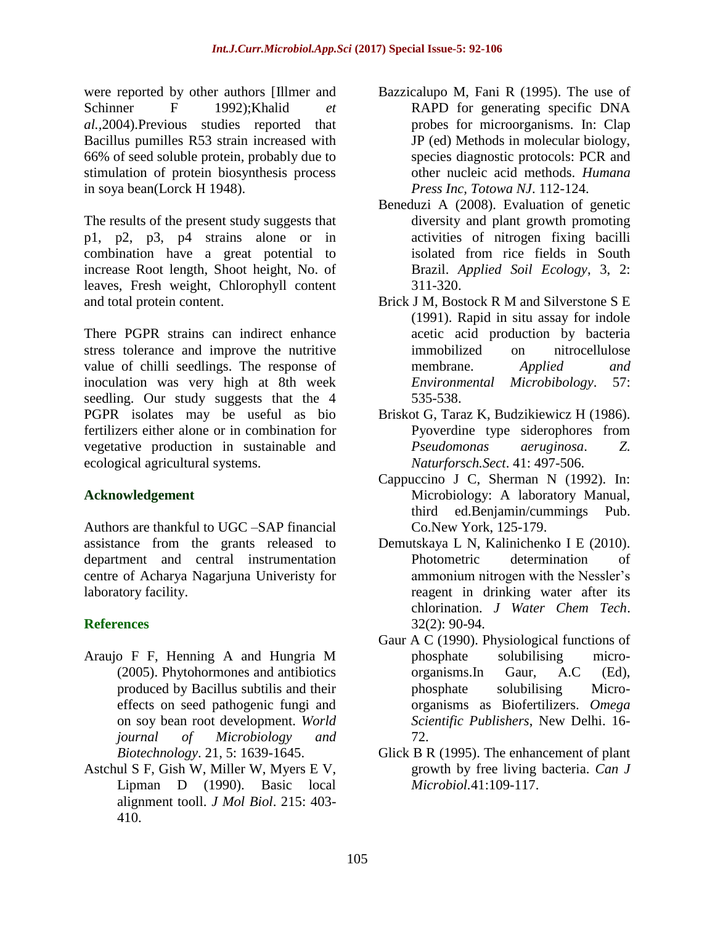were reported by other authors [Illmer and Schinner F 1992);Khalid *et al.,*2004).Previous studies reported that Bacillus pumilles R53 strain increased with 66% of seed soluble protein, probably due to stimulation of protein biosynthesis process in soya bean(Lorck H 1948).

The results of the present study suggests that p1, p2, p3, p4 strains alone or in combination have a great potential to increase Root length, Shoot height, No. of leaves, Fresh weight, Chlorophyll content and total protein content.

There PGPR strains can indirect enhance stress tolerance and improve the nutritive value of chilli seedlings. The response of inoculation was very high at 8th week seedling. Our study suggests that the 4 PGPR isolates may be useful as bio fertilizers either alone or in combination for vegetative production in sustainable and ecological agricultural systems.

#### **Acknowledgement**

Authors are thankful to UGC –SAP financial assistance from the grants released to department and central instrumentation centre of Acharya Nagarjuna Univeristy for laboratory facility.

#### **References**

- Araujo F F, Henning A and Hungria M (2005). Phytohormones and antibiotics produced by Bacillus subtilis and their effects on seed pathogenic fungi and on soy bean root development. *World journal of Microbiology and Biotechnology*. 21, 5: 1639-1645.
- Astchul S F, Gish W, Miller W, Myers E V, Lipman D (1990). Basic local alignment tooll. *J Mol Biol*. 215: 403- 410.
- Bazzicalupo M, Fani R (1995). The use of RAPD for generating specific DNA probes for microorganisms. In: Clap JP (ed) Methods in molecular biology, species diagnostic protocols: PCR and other nucleic acid methods. *Humana Press Inc, Totowa NJ*. 112-124.
- Beneduzi A (2008). Evaluation of genetic diversity and plant growth promoting activities of nitrogen fixing bacilli isolated from rice fields in South Brazil. *Applied Soil Ecology*, 3, 2: 311-320.
- Brick J M, Bostock R M and Silverstone S E (1991). Rapid in situ assay for indole acetic acid production by bacteria immobilized on nitrocellulose membrane. *Applied and Environmental Microbibology*. 57: 535-538.
- Briskot G, Taraz K, Budzikiewicz H (1986). Pyoverdine type siderophores from *Pseudomonas aeruginosa*. *Z. Naturforsch.Sect*. 41: 497-506.
- Cappuccino J C, Sherman N (1992). In: Microbiology: A laboratory Manual, third ed.Benjamin/cummings Pub. Co.New York, 125-179.
- Demutskaya L N, Kalinichenko I E (2010). Photometric determination of ammonium nitrogen with the Nessler's reagent in drinking water after its chlorination. *J Water Chem Tech*. 32(2): 90-94.
- Gaur A C (1990). Physiological functions of phosphate solubilising microorganisms.In Gaur, A.C (Ed), phosphate solubilising Microorganisms as Biofertilizers. *Omega Scientific Publishers*, New Delhi. 16- 72.
- Glick B R (1995). The enhancement of plant growth by free living bacteria. *Can J Microbiol.*41:109-117.